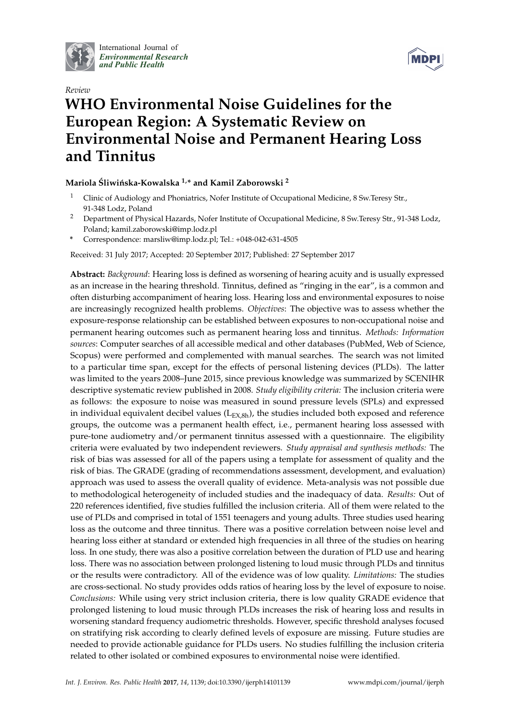

International Journal of *[Environmental Research](http://www.mdpi.com/journal/ijerph) and Public Health*



# *Review* **WHO Environmental Noise Guidelines for the European Region: A Systematic Review on Environmental Noise and Permanent Hearing Loss and Tinnitus**

# **Mariola Sliwi ´nska-Kowalska ´ 1,\* and Kamil Zaborowski <sup>2</sup>**

- <sup>1</sup> Clinic of Audiology and Phoniatrics, Nofer Institute of Occupational Medicine, 8 Sw.Teresy Str., 91-348 Lodz, Poland
- <sup>2</sup> Department of Physical Hazards, Nofer Institute of Occupational Medicine, 8 Sw.Teresy Str., 91-348 Lodz, Poland; kamil.zaborowski@imp.lodz.pl
- **\*** Correspondence: marsliw@imp.lodz.pl; Tel.: +048-042-631-4505

Received: 31 July 2017; Accepted: 20 September 2017; Published: 27 September 2017

**Abstract:** *Background*: Hearing loss is defined as worsening of hearing acuity and is usually expressed as an increase in the hearing threshold. Tinnitus, defined as "ringing in the ear", is a common and often disturbing accompaniment of hearing loss. Hearing loss and environmental exposures to noise are increasingly recognized health problems. *Objectives*: The objective was to assess whether the exposure-response relationship can be established between exposures to non-occupational noise and permanent hearing outcomes such as permanent hearing loss and tinnitus. *Methods: Information sources*: Computer searches of all accessible medical and other databases (PubMed, Web of Science, Scopus) were performed and complemented with manual searches. The search was not limited to a particular time span, except for the effects of personal listening devices (PLDs). The latter was limited to the years 2008–June 2015, since previous knowledge was summarized by SCENIHR descriptive systematic review published in 2008. *Study eligibility criteria:* The inclusion criteria were as follows: the exposure to noise was measured in sound pressure levels (SPLs) and expressed in individual equivalent decibel values  $(L_{EX,8h})$ , the studies included both exposed and reference groups, the outcome was a permanent health effect, i.e., permanent hearing loss assessed with pure-tone audiometry and/or permanent tinnitus assessed with a questionnaire. The eligibility criteria were evaluated by two independent reviewers. *Study appraisal and synthesis methods:* The risk of bias was assessed for all of the papers using a template for assessment of quality and the risk of bias. The GRADE (grading of recommendations assessment, development, and evaluation) approach was used to assess the overall quality of evidence. Meta-analysis was not possible due to methodological heterogeneity of included studies and the inadequacy of data. *Results:* Out of 220 references identified, five studies fulfilled the inclusion criteria. All of them were related to the use of PLDs and comprised in total of 1551 teenagers and young adults. Three studies used hearing loss as the outcome and three tinnitus. There was a positive correlation between noise level and hearing loss either at standard or extended high frequencies in all three of the studies on hearing loss. In one study, there was also a positive correlation between the duration of PLD use and hearing loss. There was no association between prolonged listening to loud music through PLDs and tinnitus or the results were contradictory. All of the evidence was of low quality. *Limitations:* The studies are cross-sectional. No study provides odds ratios of hearing loss by the level of exposure to noise. *Conclusions:* While using very strict inclusion criteria, there is low quality GRADE evidence that prolonged listening to loud music through PLDs increases the risk of hearing loss and results in worsening standard frequency audiometric thresholds. However, specific threshold analyses focused on stratifying risk according to clearly defined levels of exposure are missing. Future studies are needed to provide actionable guidance for PLDs users. No studies fulfilling the inclusion criteria related to other isolated or combined exposures to environmental noise were identified.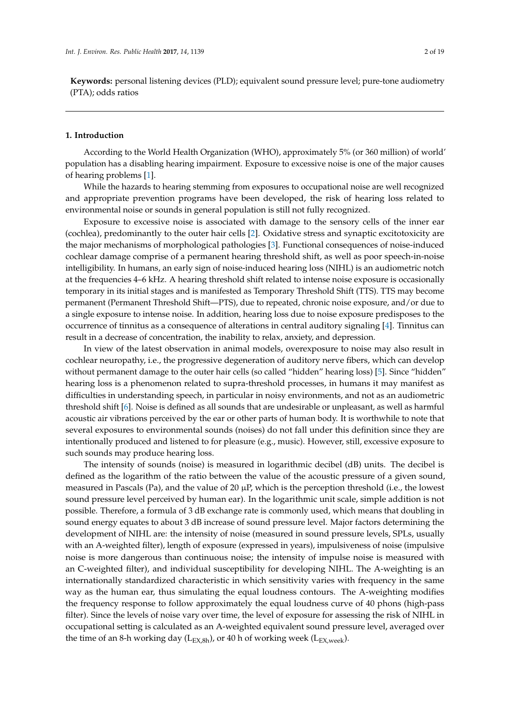**Keywords:** personal listening devices (PLD); equivalent sound pressure level; pure-tone audiometry (PTA); odds ratios

#### **1. Introduction**

According to the World Health Organization (WHO), approximately 5% (or 360 million) of world' population has a disabling hearing impairment. Exposure to excessive noise is one of the major causes of hearing problems [\[1\]](#page-16-0).

While the hazards to hearing stemming from exposures to occupational noise are well recognized and appropriate prevention programs have been developed, the risk of hearing loss related to environmental noise or sounds in general population is still not fully recognized.

Exposure to excessive noise is associated with damage to the sensory cells of the inner ear (cochlea), predominantly to the outer hair cells [\[2\]](#page-16-1). Oxidative stress and synaptic excitotoxicity are the major mechanisms of morphological pathologies [\[3\]](#page-16-2). Functional consequences of noise-induced cochlear damage comprise of a permanent hearing threshold shift, as well as poor speech-in-noise intelligibility. In humans, an early sign of noise-induced hearing loss (NIHL) is an audiometric notch at the frequencies 4–6 kHz. A hearing threshold shift related to intense noise exposure is occasionally temporary in its initial stages and is manifested as Temporary Threshold Shift (TTS). TTS may become permanent (Permanent Threshold Shift—PTS), due to repeated, chronic noise exposure, and/or due to a single exposure to intense noise. In addition, hearing loss due to noise exposure predisposes to the occurrence of tinnitus as a consequence of alterations in central auditory signaling [\[4\]](#page-16-3). Tinnitus can result in a decrease of concentration, the inability to relax, anxiety, and depression.

In view of the latest observation in animal models, overexposure to noise may also result in cochlear neuropathy, i.e., the progressive degeneration of auditory nerve fibers, which can develop without permanent damage to the outer hair cells (so called "hidden" hearing loss) [\[5\]](#page-16-4). Since "hidden" hearing loss is a phenomenon related to supra-threshold processes, in humans it may manifest as difficulties in understanding speech, in particular in noisy environments, and not as an audiometric threshold shift [\[6\]](#page-16-5). Noise is defined as all sounds that are undesirable or unpleasant, as well as harmful acoustic air vibrations perceived by the ear or other parts of human body. It is worthwhile to note that several exposures to environmental sounds (noises) do not fall under this definition since they are intentionally produced and listened to for pleasure (e.g., music). However, still, excessive exposure to such sounds may produce hearing loss.

The intensity of sounds (noise) is measured in logarithmic decibel (dB) units. The decibel is defined as the logarithm of the ratio between the value of the acoustic pressure of a given sound, measured in Pascals (Pa), and the value of 20  $\mu$ P, which is the perception threshold (i.e., the lowest sound pressure level perceived by human ear). In the logarithmic unit scale, simple addition is not possible. Therefore, a formula of 3 dB exchange rate is commonly used, which means that doubling in sound energy equates to about 3 dB increase of sound pressure level. Major factors determining the development of NIHL are: the intensity of noise (measured in sound pressure levels, SPLs, usually with an A-weighted filter), length of exposure (expressed in years), impulsiveness of noise (impulsive noise is more dangerous than continuous noise; the intensity of impulse noise is measured with an C-weighted filter), and individual susceptibility for developing NIHL. The A-weighting is an internationally standardized characteristic in which sensitivity varies with frequency in the same way as the human ear, thus simulating the equal loudness contours. The A-weighting modifies the frequency response to follow approximately the equal loudness curve of 40 phons (high-pass filter). Since the levels of noise vary over time, the level of exposure for assessing the risk of NIHL in occupational setting is calculated as an A-weighted equivalent sound pressure level, averaged over the time of an 8-h working day ( $L_{EX,8h}$ ), or 40 h of working week ( $L_{EX,week}$ ).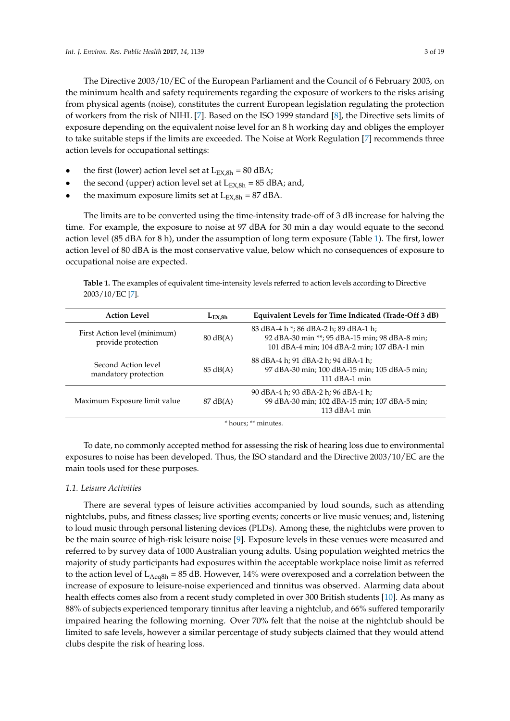The Directive 2003/10/EC of the European Parliament and the Council of 6 February 2003, on the minimum health and safety requirements regarding the exposure of workers to the risks arising from physical agents (noise), constitutes the current European legislation regulating the protection of workers from the risk of NIHL [\[7\]](#page-16-6). Based on the ISO 1999 standard [\[8\]](#page-16-7), the Directive sets limits of exposure depending on the equivalent noise level for an 8 h working day and obliges the employer to take suitable steps if the limits are exceeded. The Noise at Work Regulation [\[7\]](#page-16-6) recommends three action levels for occupational settings:

- the first (lower) action level set at  $L_{EX,8h} = 80$  dBA;
- the second (upper) action level set at  $L_{\text{EX,}8h} = 85$  dBA; and,
- the maximum exposure limits set at  $L_{EX,8h} = 87$  dBA.

The limits are to be converted using the time-intensity trade-off of 3 dB increase for halving the time. For example, the exposure to noise at 97 dBA for 30 min a day would equate to the second action level (85 dBA for 8 h), under the assumption of long term exposure (Table [1\)](#page-2-0). The first, lower action level of 80 dBA is the most conservative value, below which no consequences of exposure to occupational noise are expected.

<span id="page-2-0"></span>**Table 1.** The examples of equivalent time-intensity levels referred to action levels according to Directive 2003/10/EC [\[7\]](#page-16-6).

| <b>Action Level</b>                                | $L_{\text{EX.8h}}$ | Equivalent Levels for Time Indicated (Trade-Off 3 dB)                                                                                  |  |  |  |  |
|----------------------------------------------------|--------------------|----------------------------------------------------------------------------------------------------------------------------------------|--|--|--|--|
| First Action level (minimum)<br>provide protection | $80 \text{ dB}(A)$ | 83 dBA-4 h *; 86 dBA-2 h; 89 dBA-1 h;<br>92 dBA-30 min **; 95 dBA-15 min; 98 dBA-8 min;<br>101 dBA-4 min; 104 dBA-2 min; 107 dBA-1 min |  |  |  |  |
| Second Action level<br>mandatory protection        | 85 dB(A)           | 88 dBA-4 h; 91 dBA-2 h; 94 dBA-1 h;<br>97 dBA-30 min; 100 dBA-15 min; 105 dBA-5 min;<br>$111$ dBA-1 min                                |  |  |  |  |
| Maximum Exposure limit value                       | $87 \text{ dB}(A)$ | 90 dBA-4 h; 93 dBA-2 h; 96 dBA-1 h;<br>99 dBA-30 min; 102 dBA-15 min; 107 dBA-5 min;<br>$113$ dBA-1 min                                |  |  |  |  |
| * hours; ** minutes.                               |                    |                                                                                                                                        |  |  |  |  |

To date, no commonly accepted method for assessing the risk of hearing loss due to environmental exposures to noise has been developed. Thus, the ISO standard and the Directive 2003/10/EC are the main tools used for these purposes.

#### *1.1. Leisure Activities*

There are several types of leisure activities accompanied by loud sounds, such as attending nightclubs, pubs, and fitness classes; live sporting events; concerts or live music venues; and, listening to loud music through personal listening devices (PLDs). Among these, the nightclubs were proven to be the main source of high-risk leisure noise [\[9\]](#page-16-8). Exposure levels in these venues were measured and referred to by survey data of 1000 Australian young adults. Using population weighted metrics the majority of study participants had exposures within the acceptable workplace noise limit as referred to the action level of  $L_{Aeq8h}$  = 85 dB. However, 14% were overexposed and a correlation between the increase of exposure to leisure-noise experienced and tinnitus was observed. Alarming data about health effects comes also from a recent study completed in over 300 British students [\[10\]](#page-16-9). As many as 88% of subjects experienced temporary tinnitus after leaving a nightclub, and 66% suffered temporarily impaired hearing the following morning. Over 70% felt that the noise at the nightclub should be limited to safe levels, however a similar percentage of study subjects claimed that they would attend clubs despite the risk of hearing loss.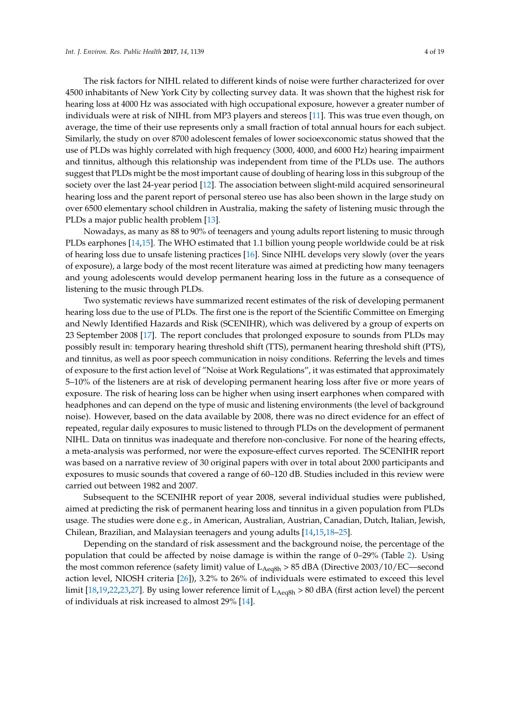The risk factors for NIHL related to different kinds of noise were further characterized for over 4500 inhabitants of New York City by collecting survey data. It was shown that the highest risk for hearing loss at 4000 Hz was associated with high occupational exposure, however a greater number of individuals were at risk of NIHL from MP3 players and stereos [\[11\]](#page-16-10). This was true even though, on average, the time of their use represents only a small fraction of total annual hours for each subject. Similarly, the study on over 8700 adolescent females of lower socioexconomic status showed that the use of PLDs was highly correlated with high frequency (3000, 4000, and 6000 Hz) hearing impairment and tinnitus, although this relationship was independent from time of the PLDs use. The authors suggest that PLDs might be the most important cause of doubling of hearing loss in this subgroup of the society over the last 24-year period [\[12\]](#page-16-11). The association between slight-mild acquired sensorineural hearing loss and the parent report of personal stereo use has also been shown in the large study on over 6500 elementary school children in Australia, making the safety of listening music through the PLDs a major public health problem [\[13\]](#page-17-0).

Nowadays, as many as 88 to 90% of teenagers and young adults report listening to music through PLDs earphones [\[14,](#page-17-1)[15\]](#page-17-2). The WHO estimated that 1.1 billion young people worldwide could be at risk of hearing loss due to unsafe listening practices [\[16\]](#page-17-3). Since NIHL develops very slowly (over the years of exposure), a large body of the most recent literature was aimed at predicting how many teenagers and young adolescents would develop permanent hearing loss in the future as a consequence of listening to the music through PLDs.

Two systematic reviews have summarized recent estimates of the risk of developing permanent hearing loss due to the use of PLDs. The first one is the report of the Scientific Committee on Emerging and Newly Identified Hazards and Risk (SCENIHR), which was delivered by a group of experts on 23 September 2008 [\[17\]](#page-17-4). The report concludes that prolonged exposure to sounds from PLDs may possibly result in: temporary hearing threshold shift (TTS), permanent hearing threshold shift (PTS), and tinnitus, as well as poor speech communication in noisy conditions. Referring the levels and times of exposure to the first action level of "Noise at Work Regulations", it was estimated that approximately 5–10% of the listeners are at risk of developing permanent hearing loss after five or more years of exposure. The risk of hearing loss can be higher when using insert earphones when compared with headphones and can depend on the type of music and listening environments (the level of background noise). However, based on the data available by 2008, there was no direct evidence for an effect of repeated, regular daily exposures to music listened to through PLDs on the development of permanent NIHL. Data on tinnitus was inadequate and therefore non-conclusive. For none of the hearing effects, a meta-analysis was performed, nor were the exposure-effect curves reported. The SCENIHR report was based on a narrative review of 30 original papers with over in total about 2000 participants and exposures to music sounds that covered a range of 60–120 dB. Studies included in this review were carried out between 1982 and 2007.

Subsequent to the SCENIHR report of year 2008, several individual studies were published, aimed at predicting the risk of permanent hearing loss and tinnitus in a given population from PLDs usage. The studies were done e.g., in American, Australian, Austrian, Canadian, Dutch, Italian, Jewish, Chilean, Brazilian, and Malaysian teenagers and young adults [\[14,](#page-17-1)[15,](#page-17-2)[18–](#page-17-5)[25\]](#page-17-6).

Depending on the standard of risk assessment and the background noise, the percentage of the population that could be affected by noise damage is within the range of 0–29% (Table [2\)](#page-4-0). Using the most common reference (safety limit) value of  $L_{\text{Aeq8h}} > 85 \text{ dBA}$  (Directive 2003/10/EC—second action level, NIOSH criteria [\[26\]](#page-17-7)), 3.2% to 26% of individuals were estimated to exceed this level limit [\[18](#page-17-5)[,19](#page-17-8)[,22](#page-17-9)[,23,](#page-17-10)[27\]](#page-17-11). By using lower reference limit of  $L_{Aeq8h} > 80$  dBA (first action level) the percent of individuals at risk increased to almost 29% [\[14\]](#page-17-1).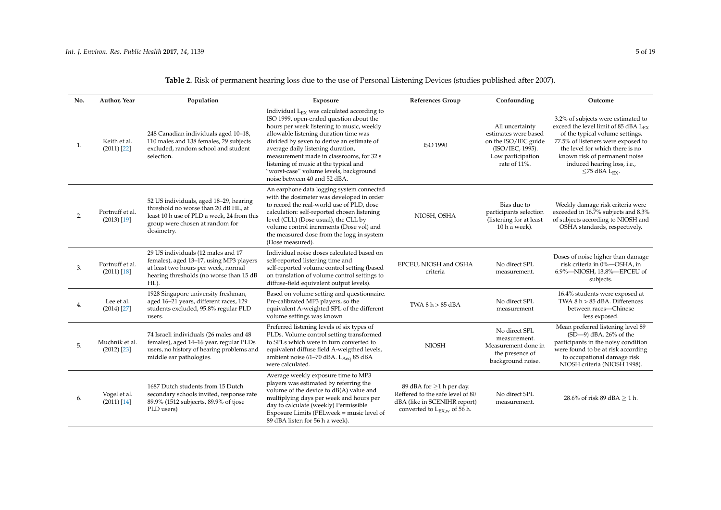<span id="page-4-0"></span>

| No. | Author, Year                     | Population                                                                                                                                                                    | Exposure                                                                                                                                                                                                                                                                                                                                                                                                                          | <b>References Group</b>                                                                                                                       | Confounding                                                                                                              | Outcome                                                                                                                                                                                                                                                                                   |
|-----|----------------------------------|-------------------------------------------------------------------------------------------------------------------------------------------------------------------------------|-----------------------------------------------------------------------------------------------------------------------------------------------------------------------------------------------------------------------------------------------------------------------------------------------------------------------------------------------------------------------------------------------------------------------------------|-----------------------------------------------------------------------------------------------------------------------------------------------|--------------------------------------------------------------------------------------------------------------------------|-------------------------------------------------------------------------------------------------------------------------------------------------------------------------------------------------------------------------------------------------------------------------------------------|
| 1.  | Keith et al.<br>$(2011)$ [22]    | 248 Canadian individuals aged 10-18,<br>110 males and 138 females, 29 subjects<br>excluded, random school and student<br>selection.                                           | Individual $L_{FX}$ was calculated according to<br>ISO 1999, open-ended question about the<br>hours per week listening to music, weekly<br>allowable listening duration time was<br>divided by seven to derive an estimate of<br>average daily listening duration,<br>measurement made in classrooms, for 32 s<br>listening of music at the typical and<br>"worst-case" volume levels, background<br>noise between 40 and 52 dBA. | <b>ISO 1990</b>                                                                                                                               | All uncertainty<br>estimates were based<br>on the ISO/IEC guide<br>(ISO/IEC, 1995).<br>Low participation<br>rate of 11%. | 3.2% of subjects were estimated to<br>exceed the level limit of 85 dBA LEX<br>of the typical volume settings.<br>77.5% of listeners were exposed to<br>the level for which there is no<br>known risk of permanent noise<br>induced hearing loss, i.e.,<br>$\leq$ 75 dBA L <sub>EX</sub> . |
| 2.  | Portnuff et al.<br>$(2013)$ [19] | 52 US individuals, aged 18-29, hearing<br>threshold no worse than 20 dB HL, at<br>least 10 h use of PLD a week, 24 from this<br>group were chosen at random for<br>dosimetry. | An earphone data logging system connected<br>with the dosimeter was developed in order<br>to record the real-world use of PLD, dose<br>calculation: self-reported chosen listening<br>level (CLL) (Dose usual), the CLL by<br>volume control increments (Dose vol) and<br>the measured dose from the logg in system<br>(Dose measured).                                                                                           | NIOSH, OSHA                                                                                                                                   | Bias due to<br>participants selection<br>(listening for at least<br>10 h a week).                                        | Weekly damage risk criteria were<br>exceeded in 16.7% subjects and 8.3%<br>of subjects according to NIOSH and<br>OSHA standards, respectively.                                                                                                                                            |
| 3.  | Portnuff et al.<br>$(2011)$ [18] | 29 US individuals (12 males and 17<br>females), aged 13-17, using MP3 players<br>at least two hours per week, normal<br>hearing thresholds (no worse than 15 dB<br>HL).       | Individual noise doses calculated based on<br>self-reported listening time and<br>self-reported volume control setting (based<br>on translation of volume control settings to<br>diffuse-field equivalent output levels).                                                                                                                                                                                                         | EPCEU, NIOSH and OSHA<br>criteria                                                                                                             | No direct SPL<br>measurement.                                                                                            | Doses of noise higher than damage<br>risk criteria in 0%-OSHA, in<br>6.9%-NIOSH, 13.8%-EPCEU of<br>subjects.                                                                                                                                                                              |
| 4.  | Lee et al.<br>$(2014)$ [27]      | 1928 Singapore university freshman,<br>aged 16-21 years, different races, 129<br>students excluded, 95.8% regular PLD<br>users.                                               | Based on volume setting and questionnaire.<br>Pre-calibrated MP3 players, so the<br>equivalent A-weighted SPL of the different<br>volume settings was known                                                                                                                                                                                                                                                                       | TWA 8 h > 85 dBA                                                                                                                              | No direct SPL<br>measurement                                                                                             | 16.4% students were exposed at<br>TWA 8 h > 85 dBA. Differences<br>between races-Chinese<br>less exposed.                                                                                                                                                                                 |
| 5.  | Muchnik et al.<br>$(2012)$ [23]  | 74 Israeli individuals (26 males and 48<br>females), aged 14-16 year, regular PLDs<br>users, no history of hearing problems and<br>middle ear pathologies.                    | Preferred listening levels of six types of<br>PLDs. Volume control setting transformed<br>to SPLs which were in turn converted to<br>equivalent diffuse field A-weigthed levels,<br>ambient noise 61-70 dBA. L <sub>Aeq</sub> 85 dBA<br>were calculated.                                                                                                                                                                          | <b>NIOSH</b>                                                                                                                                  | No direct SPL<br>measurement.<br>Measurement done in<br>the presence of<br>background noise.                             | Mean preferred listening level 89<br>$(SD-9)$ dBA. 26% of the<br>participants in the noisy condition<br>were found to be at risk according<br>to occupational damage risk<br>NIOSH criteria (NIOSH 1998).                                                                                 |
| 6.  | Vogel et al.<br>$(2011)$ [14]    | 1687 Dutch students from 15 Dutch<br>secondary schools invited, response rate<br>89.9% (1512 subjects, 89.9% of tjose<br>PLD users)                                           | Average weekly exposure time to MP3<br>players was estimated by referring the<br>volume of the device to dB(A) value and<br>multiplying days per week and hours per<br>day to calculate (weekly) Permissible<br>Exposure Limits (PELweek = music level of<br>89 dBA listen for 56 h a week).                                                                                                                                      | 89 dBA for $\geq$ 1 h per day.<br>Reffered to the safe level of 80<br>dBA (like in SCENIHR report)<br>converted to $L_{\text{EX,w}}$ of 56 h. | No direct SPL<br>measurement.                                                                                            | 28.6% of risk 89 dBA $\geq$ 1 h.                                                                                                                                                                                                                                                          |

# **Table 2.** Risk of permanent hearing loss due to the use of Personal Listening Devices (studies published after 2007).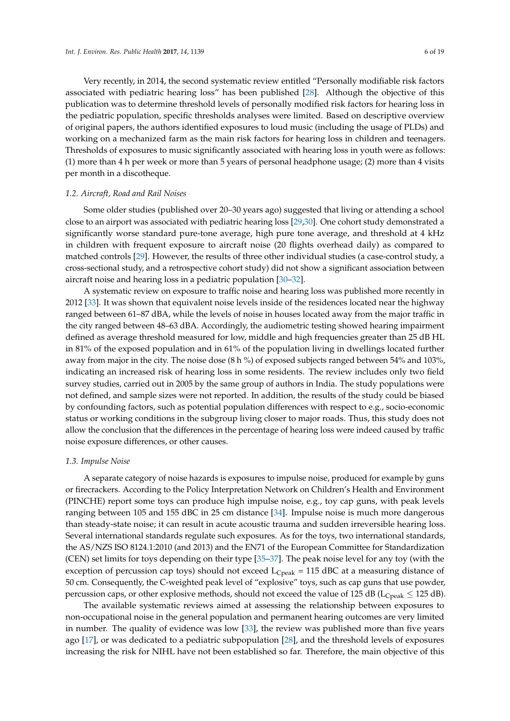Very recently, in 2014, the second systematic review entitled "Personally modifiable risk factors associated with pediatric hearing loss" has been published [\[28\]](#page-17-18). Although the objective of this publication was to determine threshold levels of personally modified risk factors for hearing loss in the pediatric population, specific thresholds analyses were limited. Based on descriptive overview of original papers, the authors identified exposures to loud music (including the usage of PLDs) and working on a mechanized farm as the main risk factors for hearing loss in children and teenagers. Thresholds of exposures to music significantly associated with hearing loss in youth were as follows: (1) more than 4 h per week or more than 5 years of personal headphone usage; (2) more than 4 visits per month in a discotheque.

#### *1.2. Aircraft, Road and Rail Noises*

Some older studies (published over 20–30 years ago) suggested that living or attending a school close to an airport was associated with pediatric hearing loss [\[29](#page-17-19)[,30\]](#page-17-20). One cohort study demonstrated a significantly worse standard pure-tone average, high pure tone average, and threshold at 4 kHz in children with frequent exposure to aircraft noise (20 flights overhead daily) as compared to matched controls [\[29\]](#page-17-19). However, the results of three other individual studies (a case-control study, a cross-sectional study, and a retrospective cohort study) did not show a significant association between aircraft noise and hearing loss in a pediatric population [\[30–](#page-17-20)[32\]](#page-17-21).

A systematic review on exposure to traffic noise and hearing loss was published more recently in 2012 [\[33\]](#page-17-22). It was shown that equivalent noise levels inside of the residences located near the highway ranged between 61–87 dBA, while the levels of noise in houses located away from the major traffic in the city ranged between 48–63 dBA. Accordingly, the audiometric testing showed hearing impairment defined as average threshold measured for low, middle and high frequencies greater than 25 dB HL in 81% of the exposed population and in 61% of the population living in dwellings located further away from major in the city. The noise dose (8 h %) of exposed subjects ranged between 54% and 103%, indicating an increased risk of hearing loss in some residents. The review includes only two field survey studies, carried out in 2005 by the same group of authors in India. The study populations were not defined, and sample sizes were not reported. In addition, the results of the study could be biased by confounding factors, such as potential population differences with respect to e.g., socio-economic status or working conditions in the subgroup living closer to major roads. Thus, this study does not allow the conclusion that the differences in the percentage of hearing loss were indeed caused by traffic noise exposure differences, or other causes.

#### *1.3. Impulse Noise*

A separate category of noise hazards is exposures to impulse noise, produced for example by guns or firecrackers. According to the Policy Interpretation Network on Children's Health and Environment (PINCHE) report some toys can produce high impulse noise, e.g., toy cap guns, with peak levels ranging between 105 and 155 dBC in 25 cm distance [\[34\]](#page-18-0). Impulse noise is much more dangerous than steady-state noise; it can result in acute acoustic trauma and sudden irreversible hearing loss. Several international standards regulate such exposures. As for the toys, two international standards, the AS/NZS ISO 8124.1:2010 (and 2013) and the EN71 of the European Committee for Standardization (CEN) set limits for toys depending on their type [\[35](#page-18-1)[–37\]](#page-18-2). The peak noise level for any toy (with the exception of percussion cap toys) should not exceed  $L_{Cpeak} = 115$  dBC at a measuring distance of 50 cm. Consequently, the C-weighted peak level of "explosive" toys, such as cap guns that use powder, percussion caps, or other explosive methods, should not exceed the value of 125 dB ( $L_{Cpeak} \leq 125$  dB).

The available systematic reviews aimed at assessing the relationship between exposures to non-occupational noise in the general population and permanent hearing outcomes are very limited in number. The quality of evidence was low [\[33\]](#page-17-22), the review was published more than five years ago [\[17\]](#page-17-4), or was dedicated to a pediatric subpopulation [\[28\]](#page-17-18), and the threshold levels of exposures increasing the risk for NIHL have not been established so far. Therefore, the main objective of this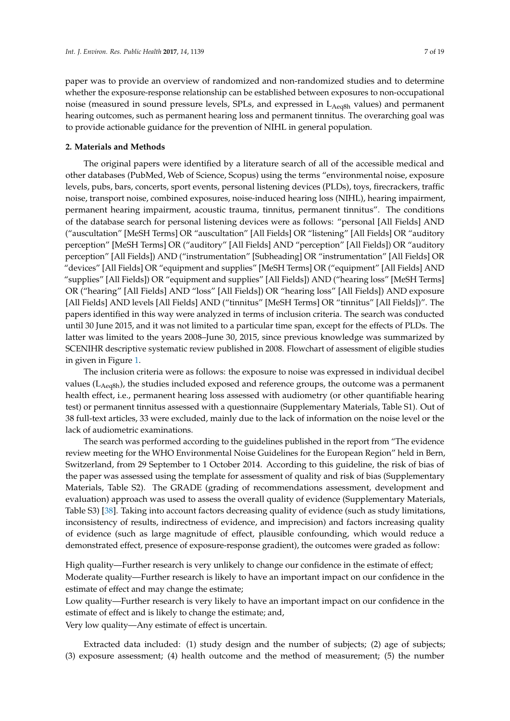paper was to provide an overview of randomized and non-randomized studies and to determine whether the exposure-response relationship can be established between exposures to non-occupational noise (measured in sound pressure levels, SPLs, and expressed in  $L_{Aeq8h}$  values) and permanent hearing outcomes, such as permanent hearing loss and permanent tinnitus. The overarching goal was to provide actionable guidance for the prevention of NIHL in general population.

#### **2. Materials and Methods**

The original papers were identified by a literature search of all of the accessible medical and other databases (PubMed, Web of Science, Scopus) using the terms "environmental noise, exposure levels, pubs, bars, concerts, sport events, personal listening devices (PLDs), toys, firecrackers, traffic noise, transport noise, combined exposures, noise-induced hearing loss (NIHL), hearing impairment, permanent hearing impairment, acoustic trauma, tinnitus, permanent tinnitus". The conditions of the database search for personal listening devices were as follows: "personal [All Fields] AND ("auscultation" [MeSH Terms] OR "auscultation" [All Fields] OR "listening" [All Fields] OR "auditory perception" [MeSH Terms] OR ("auditory" [All Fields] AND "perception" [All Fields]) OR "auditory perception" [All Fields]) AND ("instrumentation" [Subheading] OR "instrumentation" [All Fields] OR "devices" [All Fields] OR "equipment and supplies" [MeSH Terms] OR ("equipment" [All Fields] AND "supplies" [All Fields]) OR "equipment and supplies" [All Fields]) AND ("hearing loss" [MeSH Terms] OR ("hearing" [All Fields] AND "loss" [All Fields]) OR "hearing loss" [All Fields]) AND exposure [All Fields] AND levels [All Fields] AND ("tinnitus" [MeSH Terms] OR "tinnitus" [All Fields])". The papers identified in this way were analyzed in terms of inclusion criteria. The search was conducted until 30 June 2015, and it was not limited to a particular time span, except for the effects of PLDs. The latter was limited to the years 2008–June 30, 2015, since previous knowledge was summarized by SCENIHR descriptive systematic review published in 2008. Flowchart of assessment of eligible studies in given in Figure [1.](#page-7-0)

The inclusion criteria were as follows: the exposure to noise was expressed in individual decibel values ( $L_{Aeq8h}$ ), the studies included exposed and reference groups, the outcome was a permanent health effect, i.e., permanent hearing loss assessed with audiometry (or other quantifiable hearing test) or permanent tinnitus assessed with a questionnaire (Supplementary Materials, Table S1). Out of 38 full-text articles, 33 were excluded, mainly due to the lack of information on the noise level or the lack of audiometric examinations.

The search was performed according to the guidelines published in the report from "The evidence review meeting for the WHO Environmental Noise Guidelines for the European Region" held in Bern, Switzerland, from 29 September to 1 October 2014. According to this guideline, the risk of bias of the paper was assessed using the template for assessment of quality and risk of bias (Supplementary Materials, Table S2). The GRADE (grading of recommendations assessment, development and evaluation) approach was used to assess the overall quality of evidence (Supplementary Materials, Table S3) [\[38\]](#page-18-3). Taking into account factors decreasing quality of evidence (such as study limitations, inconsistency of results, indirectness of evidence, and imprecision) and factors increasing quality of evidence (such as large magnitude of effect, plausible confounding, which would reduce a demonstrated effect, presence of exposure-response gradient), the outcomes were graded as follow:

High quality—Further research is very unlikely to change our confidence in the estimate of effect; Moderate quality—Further research is likely to have an important impact on our confidence in the estimate of effect and may change the estimate;

Low quality—Further research is very likely to have an important impact on our confidence in the estimate of effect and is likely to change the estimate; and,

Very low quality—Any estimate of effect is uncertain.

Extracted data included: (1) study design and the number of subjects; (2) age of subjects; (3) exposure assessment; (4) health outcome and the method of measurement; (5) the number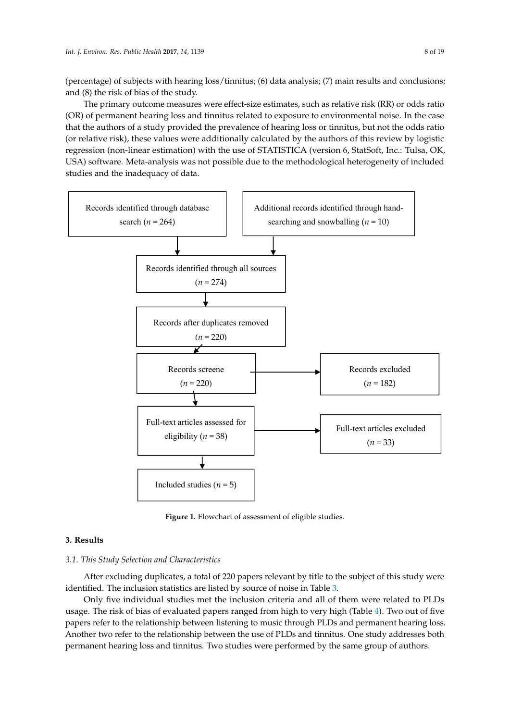(percentage) of subjects with hearing loss/tinnitus; (6) data analysis; (7) main results and conclusions; and (8) the risk of bias of the study.

The primary outcome measures were effect-size estimates, such as relative risk (RR) or odds ratio (OR) of permanent hearing loss and tinnitus related to exposure to environmental noise. In the case that the authors of a study provided the prevalence of hearing loss or tinnitus, but not the odds ratio (or relative risk), these values were additionally calculated by the authors of this review by logistic regression (non-linear estimation) with the use of STATISTICA (version 6, StatSoft, Inc.: Tulsa, OK, USA) software. Meta-analysis was not possible due to the methodological heterogeneity of included studies and the inadequacy of data.

<span id="page-7-0"></span>

**Figure 1.** Flowchart of assessment of eligible studies. **Figure 1.** Flowchart of assessment of eligible studies.

#### $T$  primary outcome measures were effect-size effect-size effect-size estimates, such as relative risk ( $R$ ) or odds ( $R$ ) or odds ( $R$ ) or odds ( $R$ ) or odds ( $R$ ) or odds ( $R$ ) or odds ( $R$ ) or odds ( $R$ ) or odds ( $R$ ) **3. Results**

# ratio (OR) of permanent hearing loss and tinnitus related to exposure to environmental noise. In the 3.1. This Study Selection and Characteristics

After excluding duplicates, a total of 220 papers relevant by title to the subject of this study were identified. The inclusion statistics are listed by source of noise in Table [3.](#page-8-0)

Only five individual studies met the inclusion criteria and all of them were related to PLDs usage. The risk of bias of evaluated papers ranged from high to very high (Table [4\)](#page-10-0). Two out of five Another two refer to the relationship between the use of PLDs and tinnitus. One study addresses both *3.1. This Study Selection and Characteristics*  papers refer to the relationship between listening to music through PLDs and permanent hearing loss. permanent hearing loss and tinnitus. Two studies were performed by the same group of authors.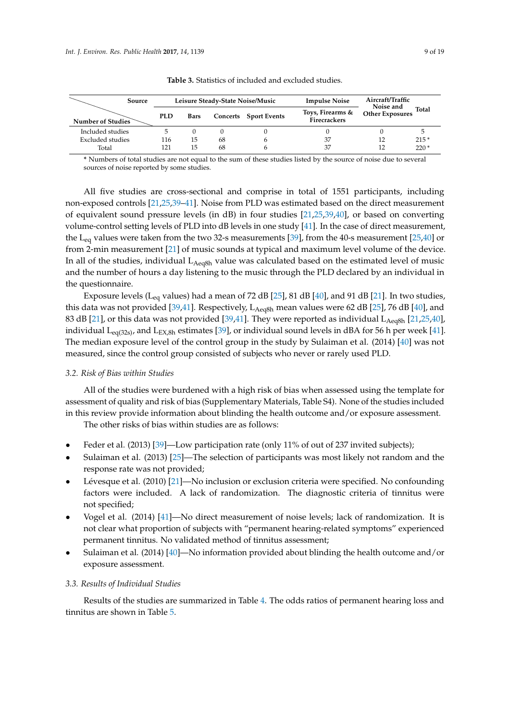<span id="page-8-0"></span>

| Source<br>Number of Studies |  |            |      | Leisure Steady-State Noise/Music |                              | <b>Impulse Noise</b>                    | Aircraft/Traffic                                    |        |
|-----------------------------|--|------------|------|----------------------------------|------------------------------|-----------------------------------------|-----------------------------------------------------|--------|
|                             |  | <b>PLD</b> | Bars |                                  | <b>Concerts</b> Sport Events | Toys, Firearms &<br><b>Firecrackers</b> | Noise and<br><b>Total</b><br><b>Other Exposures</b> |        |
| Included studies            |  |            |      |                                  |                              |                                         |                                                     |        |
| Excluded studies            |  | 116        | 15   | 68                               |                              | 37                                      |                                                     | $215*$ |
| Total                       |  | 121        | 15   | 68                               |                              | 37                                      |                                                     | $220*$ |

**Table 3.** Statistics of included and excluded studies.

**\*** Numbers of total studies are not equal to the sum of these studies listed by the source of noise due to several sources of noise reported by some studies.

All five studies are cross-sectional and comprise in total of 1551 participants, including non-exposed controls [\[21,](#page-17-15)[25,](#page-17-6)[39](#page-18-4)[–41\]](#page-18-5). Noise from PLD was estimated based on the direct measurement of equivalent sound pressure levels (in dB) in four studies [\[21](#page-17-15)[,25](#page-17-6)[,39](#page-18-4)[,40\]](#page-18-6), or based on converting volume-control setting levels of PLD into dB levels in one study [\[41\]](#page-18-5). In the case of direct measurement, the L<sub>eq</sub> values were taken from the two 32-s measurements [\[39\]](#page-18-4), from the 40-s measurement [\[25](#page-17-6)[,40\]](#page-18-6) or from 2-min measurement [\[21\]](#page-17-15) of music sounds at typical and maximum level volume of the device. In all of the studies, individual  $L_{Aeq8h}$  value was calculated based on the estimated level of music and the number of hours a day listening to the music through the PLD declared by an individual in the questionnaire.

Exposure levels (L<sub>eq</sub> values) had a mean of 72 dB [\[25\]](#page-17-6), 81 dB [\[40\]](#page-18-6), and 91 dB [\[21\]](#page-17-15). In two studies, this data was not provided [\[39](#page-18-4)[,41\]](#page-18-5). Respectively,  $L_{Aeq8h}$  mean values were 62 dB [\[25\]](#page-17-6), 76 dB [\[40\]](#page-18-6), and 83 dB [\[21\]](#page-17-15), or this data was not provided [\[39](#page-18-4)[,41\]](#page-18-5). They were reported as individual  $L_{\text{Aec8h}}$  [\[21,](#page-17-15)[25,](#page-17-6)[40\]](#page-18-6), individual  $L_{eq(32s)}$ , and  $L_{EX,8h}$  estimates [\[39\]](#page-18-4), or individual sound levels in dBA for 56 h per week [\[41\]](#page-18-5). The median exposure level of the control group in the study by Sulaiman et al. (2014) [\[40\]](#page-18-6) was not measured, since the control group consisted of subjects who never or rarely used PLD.

# *3.2. Risk of Bias within Studies*

All of the studies were burdened with a high risk of bias when assessed using the template for assessment of quality and risk of bias (Supplementary Materials, Table S4). None of the studies included in this review provide information about blinding the health outcome and/or exposure assessment.

The other risks of bias within studies are as follows:

- Feder et al. (2013) [\[39\]](#page-18-4)—Low participation rate (only 11% of out of 237 invited subjects);
- Sulaiman et al. (2013) [\[25\]](#page-17-6)—The selection of participants was most likely not random and the response rate was not provided;
- Lévesque et al. (2010) [\[21\]](#page-17-15)—No inclusion or exclusion criteria were specified. No confounding factors were included. A lack of randomization. The diagnostic criteria of tinnitus were not specified;
- Vogel et al. (2014) [\[41\]](#page-18-5)—No direct measurement of noise levels; lack of randomization. It is not clear what proportion of subjects with "permanent hearing-related symptoms" experienced permanent tinnitus. No validated method of tinnitus assessment;
- Sulaiman et al. (2014) [\[40\]](#page-18-6)—No information provided about blinding the health outcome and/or exposure assessment.

### *3.3. Results of Individual Studies*

Results of the studies are summarized in Table [4.](#page-10-0) The odds ratios of permanent hearing loss and tinnitus are shown in Table [5.](#page-11-0)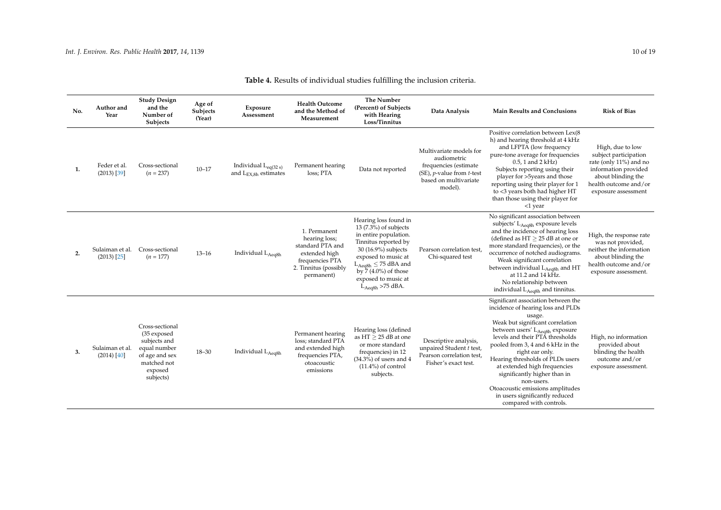**Study Design and the Number of Subjects**

**Age of Subjects (Year)**

**Exposure Assessment**

**No. Author and Year**

| <b>Health Outcome</b><br>and the Method of<br>Measurement | The Number<br>(Percent) of Subjects<br>with Hearing<br>Loss/Tinnitus | Data Analysis                                                                                                                                       | <b>Main Results and Conclusions</b>                                                                                                                                                                                                                                                                                                              | <b>Risk of Bias</b>                                                                                                                                               |
|-----------------------------------------------------------|----------------------------------------------------------------------|-----------------------------------------------------------------------------------------------------------------------------------------------------|--------------------------------------------------------------------------------------------------------------------------------------------------------------------------------------------------------------------------------------------------------------------------------------------------------------------------------------------------|-------------------------------------------------------------------------------------------------------------------------------------------------------------------|
| Permanent hearing<br>loss; PTA                            | Data not reported                                                    | Multivariate models for<br>audiometric<br>frequencies (estimate<br>$(SE)$ , <i>p</i> -value from <i>t</i> -test<br>based on multivariate<br>model). | Positive correlation between Lex(8)<br>h) and hearing threshold at 4 kHz<br>and LFPTA (low frequency<br>pure-tone average for frequencies<br>$0.5$ , 1 and 2 kHz)<br>Subjects reporting using their<br>player for >5years and those<br>reporting using their player for 1<br>to <3 years both had higher HT<br>than those using their player for | High, due to low<br>subject participation<br>rate (only 11%) and no<br>information provided<br>about blinding the<br>health outcome and/or<br>exposure assessment |

Table 4. Results of individe

| 1. | Feder et al.<br>$(2013)$ [39]    | Cross-sectional<br>$(n = 237)$                                                                                          | $10 - 17$ | Individual $L_{eq(32 s)}$<br>and $L_{EX,8h}$ estimates | Permanent hearing<br>loss; PTA                                                                                               | Data not reported                                                                                                                                                                                                                                             | Multivariate models for<br>audiometric<br>frequencies (estimate<br>(SE), <i>p</i> -value from <i>t</i> -test<br>based on multivariate<br>model). | II) and nearing threshold at 4 KHz<br>and LFPTA (low frequency<br>pure-tone average for frequencies<br>$0.5$ , 1 and 2 kHz)<br>Subjects reporting using their<br>player for >5years and those<br>reporting using their player for 1<br>to <3 years both had higher HT<br>than those using their player for<br>$<$ 1 year                                                                                                                                                            | High, due to low<br>subject participation<br>rate (only 11%) and no<br>information provided<br>about blinding the<br>health outcome and/or<br>exposure assessment |
|----|----------------------------------|-------------------------------------------------------------------------------------------------------------------------|-----------|--------------------------------------------------------|------------------------------------------------------------------------------------------------------------------------------|---------------------------------------------------------------------------------------------------------------------------------------------------------------------------------------------------------------------------------------------------------------|--------------------------------------------------------------------------------------------------------------------------------------------------|-------------------------------------------------------------------------------------------------------------------------------------------------------------------------------------------------------------------------------------------------------------------------------------------------------------------------------------------------------------------------------------------------------------------------------------------------------------------------------------|-------------------------------------------------------------------------------------------------------------------------------------------------------------------|
| 2. | Sulaiman et al.<br>$(2013)$ [25] | Cross-sectional<br>$(n = 177)$                                                                                          | $13 - 16$ | Individual LAeq8h                                      | 1. Permanent<br>hearing loss;<br>standard PTA and<br>extended high<br>frequencies PTA<br>2. Tinnitus (possibly<br>permanent) | Hearing loss found in<br>$13(7.3%)$ of subjects<br>in entire population.<br>Tinnitus reported by<br>30 (16.9%) subjects<br>exposed to music at<br>$L_{Aeq8h} \leq 75$ dBA and<br>by $\frac{7}{4.0\%}$ of those<br>exposed to music at<br>$L_{Aeq8h}$ >75 dBA. | Pearson correlation test,<br>Chi-squared test                                                                                                    | No significant association between<br>subjects' $L_{\text{Aea8h}}$ exposure levels<br>and the incidence of hearing loss<br>(defined as $HT \geq 25$ dB at one or<br>more standard frequencies), or the<br>occurrence of notched audiograms.<br>Weak significant correlation<br>between individual L <sub>Aeq8h</sub> and HT<br>at 11.2 and 14 kHz.<br>No relationship between<br>individual L <sub>Aeq8h</sub> and tinnitus.                                                        | High, the response rate<br>was not provided,<br>neither the information<br>about blinding the<br>health outcome and/or<br>exposure assessment.                    |
| 3. | Sulaiman et al.<br>(2014) [40]   | Cross-sectional<br>(35 exposed<br>subjects and<br>equal number<br>of age and sex<br>matched not<br>exposed<br>subjects) | $18 - 30$ | Individual LAeq8h                                      | Permanent hearing<br>loss; standard PTA<br>and extended high<br>frequencies PTA,<br>otoacoustic<br>emissions                 | Hearing loss (defined<br>as $HT \geq 25$ dB at one<br>or more standard<br>frequencies) in 12<br>$(34.3\%)$ of users and 4<br>$(11.4\%)$ of control<br>subjects.                                                                                               | Descriptive analysis,<br>unpaired Student t test,<br>Pearson correlation test,<br>Fisher's exact test.                                           | Significant association between the<br>incidence of hearing loss and PLDs<br>usage.<br>Weak but significant correlation<br>between users' L <sub>Aeq8h</sub> exposure<br>levels and their PTA thresholds<br>pooled from 3, 4 and 6 kHz in the<br>right ear only.<br>Hearing thresholds of PLDs users<br>at extended high frequencies<br>significantly higher than in<br>non-users.<br>Otoacoustic emissions amplitudes<br>in users significantly reduced<br>compared with controls. | High, no information<br>provided about<br>blinding the health<br>outcome and/or<br>exposure assessment.                                                           |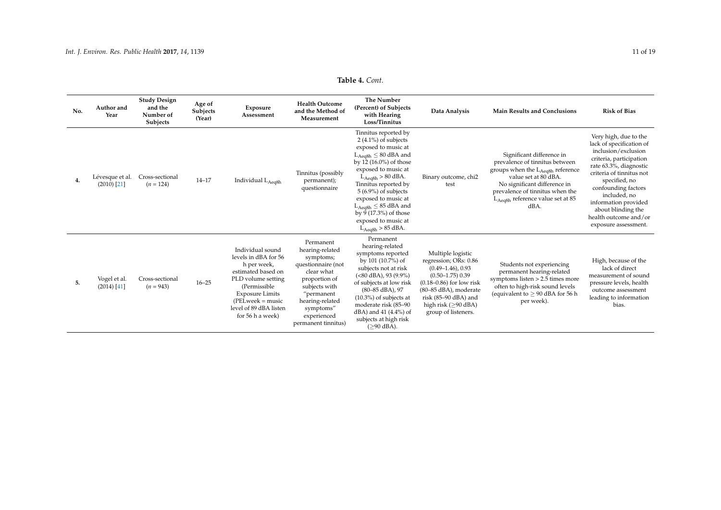# **Table 4.** *Cont.*

<span id="page-10-0"></span>

| No. | Author and<br>Year               | <b>Study Design</b><br>and the<br>Number of<br>Subjects | Age of<br>Subjects<br>(Year) | Exposure<br>Assessment                                                                                                                                                                                              | <b>Health Outcome</b><br>and the Method of<br>Measurement                                                                                                                                           | <b>The Number</b><br>(Percent) of Subjects<br>with Hearing<br>Loss/Tinnitus                                                                                                                                                                                                                                                                                         | Data Analysis                                                                                                                                                                                                                    | <b>Main Results and Conclusions</b>                                                                                                                                                                                                                | <b>Risk of Bias</b>                                                                                                                                                                                                                                                                                              |
|-----|----------------------------------|---------------------------------------------------------|------------------------------|---------------------------------------------------------------------------------------------------------------------------------------------------------------------------------------------------------------------|-----------------------------------------------------------------------------------------------------------------------------------------------------------------------------------------------------|---------------------------------------------------------------------------------------------------------------------------------------------------------------------------------------------------------------------------------------------------------------------------------------------------------------------------------------------------------------------|----------------------------------------------------------------------------------------------------------------------------------------------------------------------------------------------------------------------------------|----------------------------------------------------------------------------------------------------------------------------------------------------------------------------------------------------------------------------------------------------|------------------------------------------------------------------------------------------------------------------------------------------------------------------------------------------------------------------------------------------------------------------------------------------------------------------|
| 4.  | Lévesque et al.<br>$(2010)$ [21] | Cross-sectional<br>$(n = 124)$                          | $14 - 17$                    | Individual L <sub>Aeq8h</sub>                                                                                                                                                                                       | Tinnitus (possibly<br>permanent);<br>questionnaire                                                                                                                                                  | Tinnitus reported by<br>$2(4.1\%)$ of subjects<br>exposed to music at<br>$L_{Aeq8h} \leq 80$ dBA and<br>by $12(16.0\%)$ of those<br>exposed to music at<br>$L_{Aeq8h} > 80$ dBA.<br>Tinnitus reported by<br>$5(6.9\%)$ of subjects<br>exposed to music at<br>$L_{Aea8h} \leq 85$ dBA and<br>by $9(17.3\%)$ of those<br>exposed to music at<br>$L_{Aeq8h}$ > 85 dBA. | Binary outcome, chi2<br>test                                                                                                                                                                                                     | Significant difference in<br>prevalence of tinnitus between<br>groups when the LAeq8h reference<br>value set at 80 dBA.<br>No significant difference in<br>prevalence of tinnitus when the<br>L <sub>Aeq8h</sub> reference value set at 85<br>dBA. | Very high, due to the<br>lack of specification of<br>inclusion/exclusion<br>criteria, participation<br>rate 63.3%, diagnostic<br>criteria of tinnitus not<br>specified, no<br>confounding factors<br>included, no<br>information provided<br>about blinding the<br>health outcome and/or<br>exposure assessment. |
| 5.  | Vogel et al.<br>$(2014)$ [41]    | Cross-sectional<br>$(n = 943)$                          | $16 - 25$                    | Individual sound<br>levels in dBA for 56<br>h per week,<br>estimated based on<br>PLD volume setting<br>(Permissible)<br><b>Exposure Limits</b><br>$(PELweek = music)$<br>level of 89 dBA listen<br>for 56 h a week) | Permanent<br>hearing-related<br>symptoms;<br>questionnaire (not<br>clear what<br>proportion of<br>subjects with<br>"permanent<br>hearing-related<br>symptoms"<br>experienced<br>permanent tinnitus) | Permanent<br>hearing-related<br>symptoms reported<br>by 101 (10.7%) of<br>subjects not at risk<br>(<80 dBA), 93 (9.9%)<br>of subjects at low risk<br>$(80 - 85$ dBA), 97<br>$(10.3\%)$ of subjects at<br>moderate risk (85–90<br>dBA) and 41 (4.4%) of<br>subjects at high risk<br>$(≥90$ dBA).                                                                     | Multiple logistic<br>regression; ORs: 0.86<br>$(0.49 - 1.46)$ , 0.93<br>$(0.50 - 1.75)$ 0.39<br>$(0.18-0.86)$ for low risk<br>(80–85 dBA), moderate<br>risk (85-90 dBA) and<br>high risk ( $\geq$ 90 dBA)<br>group of listeners. | Students not experiencing<br>permanent hearing-related<br>symptoms listen $> 2.5$ times more<br>often to high-risk sound levels<br>(equivalent to $\geq$ 90 dBA for 56 h<br>per week).                                                             | High, because of the<br>lack of direct<br>measurement of sound<br>pressure levels, health<br>outcome assessment<br>leading to information<br>bias.                                                                                                                                                               |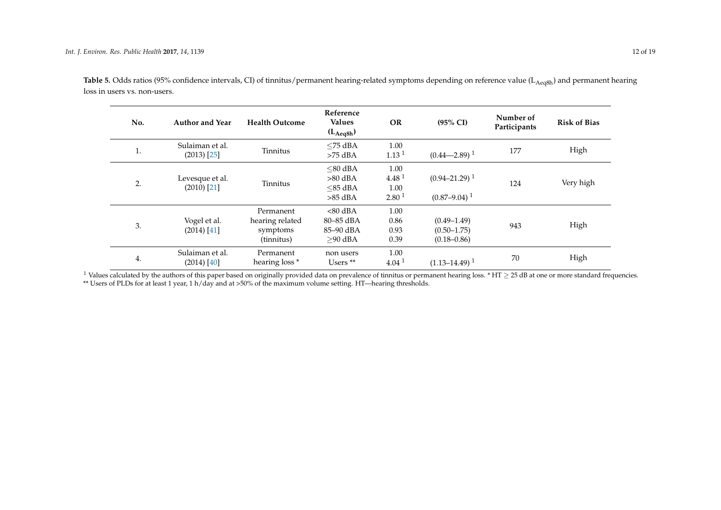| No.     | <b>Author and Year</b>             | <b>Health Outcome</b>                                  | Reference<br><b>Values</b><br>$(L_{Aeq8h})$        | <b>OR</b>                                              | $(95\% \text{ CI})$                                   | Number of<br>Participants | <b>Risk of Bias</b> |
|---------|------------------------------------|--------------------------------------------------------|----------------------------------------------------|--------------------------------------------------------|-------------------------------------------------------|---------------------------|---------------------|
| 1<br>ı. | Sulaiman et al.<br>$(2013)$ $[25]$ | Tinnitus                                               | $<$ 75 dBA<br>$>75$ dBA                            | 1.00<br>1.13 <sup>1</sup>                              | $(0.44 - 2.89)^{1}$                                   | 177                       | High                |
| 2.      | Levesque et al.<br>$(2010)$ [21]   | Tinnitus                                               | $<$ 80 dBA<br>$>80$ dBA<br>$<$ 85 dBA<br>$>85$ dBA | 1.00<br>4.48 <sup>1</sup><br>1.00<br>2.80 <sup>1</sup> | $(0.94 - 21.29)^{1}$<br>$(0.87 - 9.04)^{1}$           | 124                       | Very high           |
| 3.      | Vogel et al.<br>$(2014)$ [41]      | Permanent<br>hearing related<br>symptoms<br>(tinnitus) | $< 80$ dBA<br>80-85 dBA<br>85-90 dBA<br>$>90$ dBA  | 1.00<br>0.86<br>0.93<br>0.39                           | $(0.49 - 1.49)$<br>$(0.50 - 1.75)$<br>$(0.18 - 0.86)$ | 943                       | High                |
| 4.      | Sulaiman et al.<br>$(2014)$ [40]   | Permanent<br>hearing loss <sup>*</sup>                 | non users<br>Users $**$                            | 1.00<br>4.04 <sup>1</sup>                              | $(1.13 - 14.49)^{1}$                                  | 70                        | High                |

Table 5. Odds ratios (95% confidence intervals, CI) of tinnitus/permanent hearing-related symptoms depending on reference value (L<sub>Aeq8h</sub>) and permanent hearing loss in users vs. non-users.

<span id="page-11-0"></span> $^1$  Values calculated by the authors of this paper based on originally provided data on prevalence of tinnitus or permanent hearing loss. \* HT  $\geq$  25 dB at one or more standard frequencies. \*\* Users of PLDs for at least 1 year, 1 h/day and at >50% of the maximum volume setting. HT—hearing thresholds.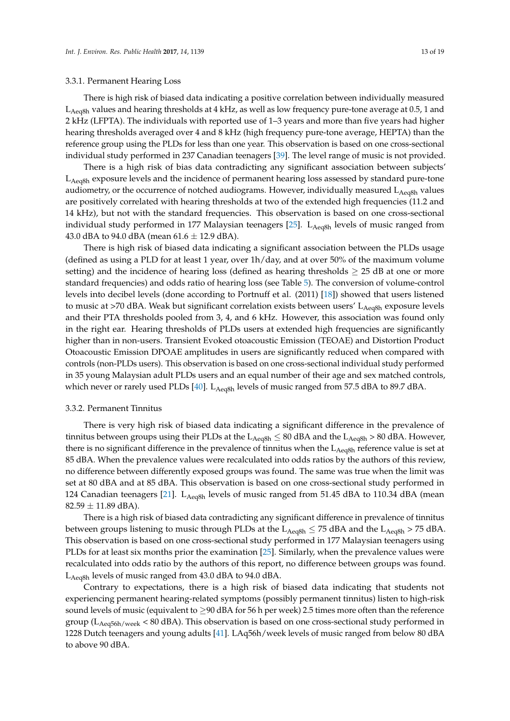#### 3.3.1. Permanent Hearing Loss

There is high risk of biased data indicating a positive correlation between individually measured  $L_{\text{Ae}$ <sub>deq</sub><sup>8</sup>h values and hearing thresholds at 4 kHz, as well as low frequency pure-tone average at 0.5, 1 and 2 kHz (LFPTA). The individuals with reported use of 1–3 years and more than five years had higher hearing thresholds averaged over 4 and 8 kHz (high frequency pure-tone average, HEPTA) than the reference group using the PLDs for less than one year. This observation is based on one cross-sectional individual study performed in 237 Canadian teenagers [\[39\]](#page-18-4). The level range of music is not provided.

There is a high risk of bias data contradicting any significant association between subjects' L<sub>Aeq8h</sub> exposure levels and the incidence of permanent hearing loss assessed by standard pure-tone audiometry, or the occurrence of notched audiograms. However, individually measured  $L_{A\text{e}a8h}$  values are positively correlated with hearing thresholds at two of the extended high frequencies (11.2 and 14 kHz), but not with the standard frequencies. This observation is based on one cross-sectional individual study performed in 177 Malaysian teenagers [\[25\]](#page-17-6).  $L_{Aeq8h}$  levels of music ranged from 43.0 dBA to 94.0 dBA (mean  $61.6 \pm 12.9$  dBA).

There is high risk of biased data indicating a significant association between the PLDs usage (defined as using a PLD for at least 1 year, over 1h/day, and at over 50% of the maximum volume setting) and the incidence of hearing loss (defined as hearing thresholds  $\geq 25$  dB at one or more standard frequencies) and odds ratio of hearing loss (see Table [5\)](#page-11-0). The conversion of volume-control levels into decibel levels (done according to Portnuff et al. (2011) [\[18\]](#page-17-5)) showed that users listened to music at  $>70$  dBA. Weak but significant correlation exists between users'  $L_{\text{Ae}a8h}$  exposure levels and their PTA thresholds pooled from 3, 4, and 6 kHz. However, this association was found only in the right ear. Hearing thresholds of PLDs users at extended high frequencies are significantly higher than in non-users. Transient Evoked otoacoustic Emission (TEOAE) and Distortion Product Otoacoustic Emission DPOAE amplitudes in users are significantly reduced when compared with controls (non-PLDs users). This observation is based on one cross-sectional individual study performed in 35 young Malaysian adult PLDs users and an equal number of their age and sex matched controls, which never or rarely used PLDs [\[40\]](#page-18-6). L<sub>Aeq8h</sub> levels of music ranged from 57.5 dBA to 89.7 dBA.

#### 3.3.2. Permanent Tinnitus

There is very high risk of biased data indicating a significant difference in the prevalence of tinnitus between groups using their PLDs at the  $L_{Aeq8h} \leq 80$  dBA and the  $L_{Aeq8h} > 80$  dBA. However, there is no significant difference in the prevalence of tinnitus when the  $L_{Aeq8h}$  reference value is set at 85 dBA. When the prevalence values were recalculated into odds ratios by the authors of this review, no difference between differently exposed groups was found. The same was true when the limit was set at 80 dBA and at 85 dBA. This observation is based on one cross-sectional study performed in 124 Canadian teenagers [\[21\]](#page-17-15).  $L_{A\text{eq8}h}$  levels of music ranged from 51.45 dBA to 110.34 dBA (mean  $82.59 \pm 11.89 \text{ dBA}$ ).

There is a high risk of biased data contradicting any significant difference in prevalence of tinnitus between groups listening to music through PLDs at the  $L_{Aeq8h} \le 75$  dBA and the  $L_{Aeq8h} > 75$  dBA. This observation is based on one cross-sectional study performed in 177 Malaysian teenagers using PLDs for at least six months prior the examination [\[25\]](#page-17-6). Similarly, when the prevalence values were recalculated into odds ratio by the authors of this report, no difference between groups was found. L<sub>Aeq8h</sub> levels of music ranged from 43.0 dBA to 94.0 dBA.

Contrary to expectations, there is a high risk of biased data indicating that students not experiencing permanent hearing-related symptoms (possibly permanent tinnitus) listen to high-risk sound levels of music (equivalent to  $\geq$ 90 dBA for 56 h per week) 2.5 times more often than the reference group ( $L_{Aeq56h/week}$  < 80 dBA). This observation is based on one cross-sectional study performed in 1228 Dutch teenagers and young adults [\[41\]](#page-18-5). LAq56h/week levels of music ranged from below 80 dBA to above 90 dBA.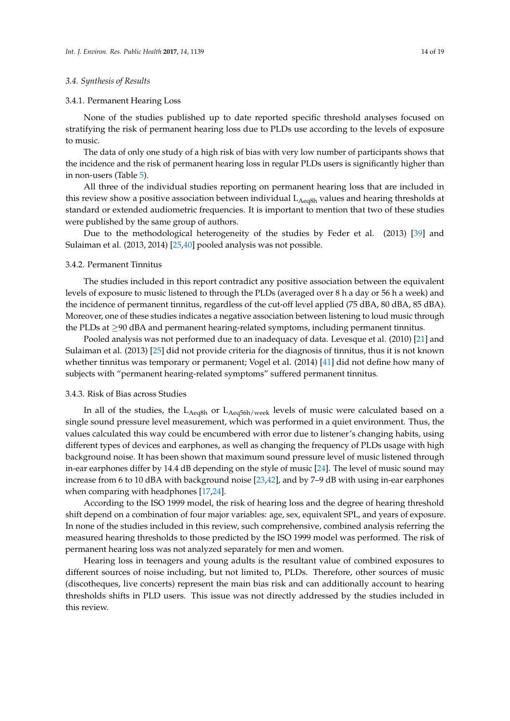#### *3.4. Synthesis of Results*

#### 3.4.1. Permanent Hearing Loss

None of the studies published up to date reported specific threshold analyses focused on stratifying the risk of permanent hearing loss due to PLDs use according to the levels of exposure to music.

The data of only one study of a high risk of bias with very low number of participants shows that the incidence and the risk of permanent hearing loss in regular PLDs users is significantly higher than in non-users (Table [5\)](#page-11-0).

All three of the individual studies reporting on permanent hearing loss that are included in this review show a positive association between individual  $L_{\text{Aeq8h}}$  values and hearing thresholds at standard or extended audiometric frequencies. It is important to mention that two of these studies were published by the same group of authors.

Due to the methodological heterogeneity of the studies by Feder et al. (2013) [\[39\]](#page-18-4) and Sulaiman et al. (2013, 2014) [\[25](#page-17-6)[,40\]](#page-18-6) pooled analysis was not possible.

#### 3.4.2. Permanent Tinnitus

The studies included in this report contradict any positive association between the equivalent levels of exposure to music listened to through the PLDs (averaged over 8 h a day or 56 h a week) and the incidence of permanent tinnitus, regardless of the cut-off level applied (75 dBA, 80 dBA, 85 dBA). Moreover, one of these studies indicates a negative association between listening to loud music through the PLDs at ≥90 dBA and permanent hearing-related symptoms, including permanent tinnitus.

Pooled analysis was not performed due to an inadequacy of data. Levesque et al. (2010) [\[21\]](#page-17-15) and Sulaiman et al. (2013) [\[25\]](#page-17-6) did not provide criteria for the diagnosis of tinnitus, thus it is not known whether tinnitus was temporary or permanent; Vogel et al. (2014) [\[41\]](#page-18-5) did not define how many of subjects with "permanent hearing-related symptoms" suffered permanent tinnitus.

### 3.4.3. Risk of Bias across Studies

In all of the studies, the  $L_{Aeq8h}$  or  $L_{Aeq56h/week}$  levels of music were calculated based on a single sound pressure level measurement, which was performed in a quiet environment. Thus, the values calculated this way could be encumbered with error due to listener's changing habits, using different types of devices and earphones, as well as changing the frequency of PLDs usage with high background noise. It has been shown that maximum sound pressure level of music listened through in-ear earphones differ by 14.4 dB depending on the style of music [\[24\]](#page-17-25). The level of music sound may increase from 6 to 10 dBA with background noise [\[23](#page-17-10)[,42\]](#page-18-10), and by 7–9 dB with using in-ear earphones when comparing with headphones [\[17,](#page-17-4)[24\]](#page-17-25).

According to the ISO 1999 model, the risk of hearing loss and the degree of hearing threshold shift depend on a combination of four major variables: age, sex, equivalent SPL, and years of exposure. In none of the studies included in this review, such comprehensive, combined analysis referring the measured hearing thresholds to those predicted by the ISO 1999 model was performed. The risk of permanent hearing loss was not analyzed separately for men and women.

Hearing loss in teenagers and young adults is the resultant value of combined exposures to different sources of noise including, but not limited to, PLDs. Therefore, other sources of music (discotheques, live concerts) represent the main bias risk and can additionally account to hearing thresholds shifts in PLD users. This issue was not directly addressed by the studies included in this review.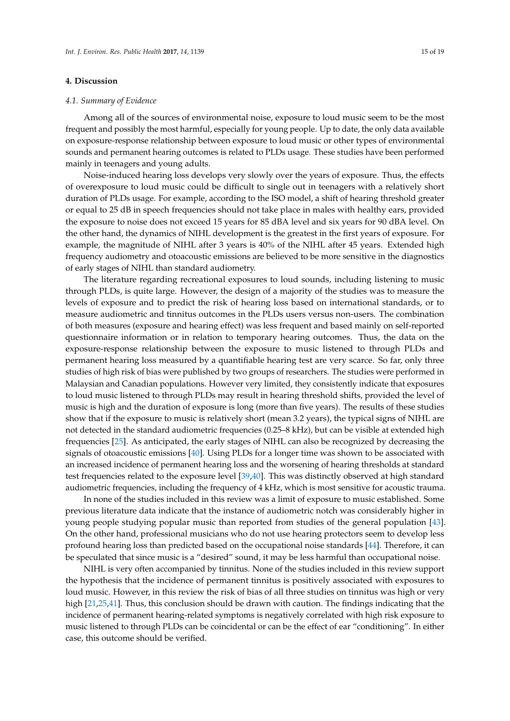#### **4. Discussion**

#### *4.1. Summary of Evidence*

Among all of the sources of environmental noise, exposure to loud music seem to be the most frequent and possibly the most harmful, especially for young people. Up to date, the only data available on exposure-response relationship between exposure to loud music or other types of environmental sounds and permanent hearing outcomes is related to PLDs usage. These studies have been performed mainly in teenagers and young adults.

Noise-induced hearing loss develops very slowly over the years of exposure. Thus, the effects of overexposure to loud music could be difficult to single out in teenagers with a relatively short duration of PLDs usage. For example, according to the ISO model, a shift of hearing threshold greater or equal to 25 dB in speech frequencies should not take place in males with healthy ears, provided the exposure to noise does not exceed 15 years for 85 dBA level and six years for 90 dBA level. On the other hand, the dynamics of NIHL development is the greatest in the first years of exposure. For example, the magnitude of NIHL after 3 years is 40% of the NIHL after 45 years. Extended high frequency audiometry and otoacoustic emissions are believed to be more sensitive in the diagnostics of early stages of NIHL than standard audiometry.

The literature regarding recreational exposures to loud sounds, including listening to music through PLDs, is quite large. However, the design of a majority of the studies was to measure the levels of exposure and to predict the risk of hearing loss based on international standards, or to measure audiometric and tinnitus outcomes in the PLDs users versus non-users. The combination of both measures (exposure and hearing effect) was less frequent and based mainly on self-reported questionnaire information or in relation to temporary hearing outcomes. Thus, the data on the exposure-response relationship between the exposure to music listened to through PLDs and permanent hearing loss measured by a quantifiable hearing test are very scarce. So far, only three studies of high risk of bias were published by two groups of researchers. The studies were performed in Malaysian and Canadian populations. However very limited, they consistently indicate that exposures to loud music listened to through PLDs may result in hearing threshold shifts, provided the level of music is high and the duration of exposure is long (more than five years). The results of these studies show that if the exposure to music is relatively short (mean 3.2 years), the typical signs of NIHL are not detected in the standard audiometric frequencies (0.25–8 kHz), but can be visible at extended high frequencies [\[25\]](#page-17-6). As anticipated, the early stages of NIHL can also be recognized by decreasing the signals of otoacoustic emissions [\[40\]](#page-18-6). Using PLDs for a longer time was shown to be associated with an increased incidence of permanent hearing loss and the worsening of hearing thresholds at standard test frequencies related to the exposure level [\[39](#page-18-4)[,40\]](#page-18-6). This was distinctly observed at high standard audiometric frequencies, including the frequency of 4 kHz, which is most sensitive for acoustic trauma.

In none of the studies included in this review was a limit of exposure to music established. Some previous literature data indicate that the instance of audiometric notch was considerably higher in young people studying popular music than reported from studies of the general population [\[43\]](#page-18-11). On the other hand, professional musicians who do not use hearing protectors seem to develop less profound hearing loss than predicted based on the occupational noise standards [\[44\]](#page-18-12). Therefore, it can be speculated that since music is a "desired" sound, it may be less harmful than occupational noise.

NIHL is very often accompanied by tinnitus. None of the studies included in this review support the hypothesis that the incidence of permanent tinnitus is positively associated with exposures to loud music. However, in this review the risk of bias of all three studies on tinnitus was high or very high [\[21](#page-17-15)[,25](#page-17-6)[,41\]](#page-18-5). Thus, this conclusion should be drawn with caution. The findings indicating that the incidence of permanent hearing-related symptoms is negatively correlated with high risk exposure to music listened to through PLDs can be coincidental or can be the effect of ear "conditioning". In either case, this outcome should be verified.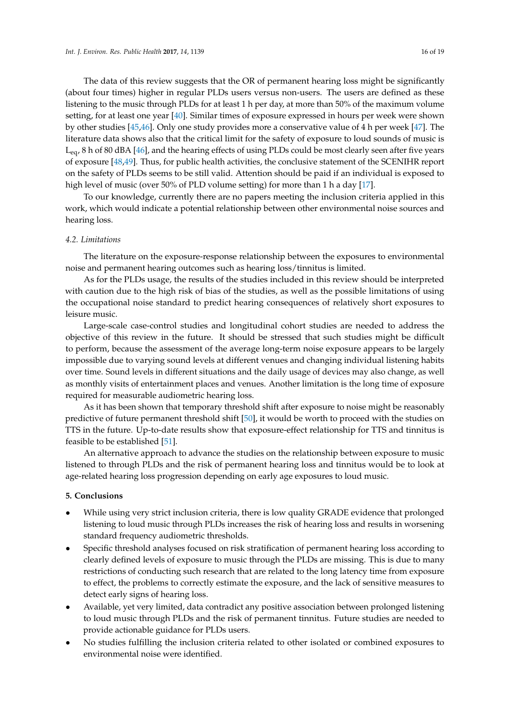(about four times) higher in regular PLDs users versus non-users. The users are defined as these listening to the music through PLDs for at least 1 h per day, at more than 50% of the maximum volume setting, for at least one year [\[40\]](#page-18-6). Similar times of exposure expressed in hours per week were shown by other studies [\[45,](#page-18-13)[46\]](#page-18-14). Only one study provides more a conservative value of 4 h per week [\[47\]](#page-18-15). The literature data shows also that the critical limit for the safety of exposure to loud sounds of music is  $L_{eq}$ , 8 h of 80 dBA [\[46\]](#page-18-14), and the hearing effects of using PLDs could be most clearly seen after five years of exposure [\[48](#page-18-16)[,49\]](#page-18-17). Thus, for public health activities, the conclusive statement of the SCENIHR report on the safety of PLDs seems to be still valid. Attention should be paid if an individual is exposed to high level of music (over 50% of PLD volume setting) for more than 1 h a day [\[17\]](#page-17-4).

To our knowledge, currently there are no papers meeting the inclusion criteria applied in this work, which would indicate a potential relationship between other environmental noise sources and hearing loss.

# *4.2. Limitations*

The literature on the exposure-response relationship between the exposures to environmental noise and permanent hearing outcomes such as hearing loss/tinnitus is limited.

As for the PLDs usage, the results of the studies included in this review should be interpreted with caution due to the high risk of bias of the studies, as well as the possible limitations of using the occupational noise standard to predict hearing consequences of relatively short exposures to leisure music.

Large-scale case-control studies and longitudinal cohort studies are needed to address the objective of this review in the future. It should be stressed that such studies might be difficult to perform, because the assessment of the average long-term noise exposure appears to be largely impossible due to varying sound levels at different venues and changing individual listening habits over time. Sound levels in different situations and the daily usage of devices may also change, as well as monthly visits of entertainment places and venues. Another limitation is the long time of exposure required for measurable audiometric hearing loss.

As it has been shown that temporary threshold shift after exposure to noise might be reasonably predictive of future permanent threshold shift [\[50\]](#page-18-18), it would be worth to proceed with the studies on TTS in the future. Up-to-date results show that exposure-effect relationship for TTS and tinnitus is feasible to be established [\[51\]](#page-18-19).

An alternative approach to advance the studies on the relationship between exposure to music listened to through PLDs and the risk of permanent hearing loss and tinnitus would be to look at age-related hearing loss progression depending on early age exposures to loud music.

### **5. Conclusions**

- While using very strict inclusion criteria, there is low quality GRADE evidence that prolonged listening to loud music through PLDs increases the risk of hearing loss and results in worsening standard frequency audiometric thresholds.
- Specific threshold analyses focused on risk stratification of permanent hearing loss according to clearly defined levels of exposure to music through the PLDs are missing. This is due to many restrictions of conducting such research that are related to the long latency time from exposure to effect, the problems to correctly estimate the exposure, and the lack of sensitive measures to detect early signs of hearing loss.
- Available, yet very limited, data contradict any positive association between prolonged listening to loud music through PLDs and the risk of permanent tinnitus. Future studies are needed to provide actionable guidance for PLDs users.
- No studies fulfilling the inclusion criteria related to other isolated or combined exposures to environmental noise were identified.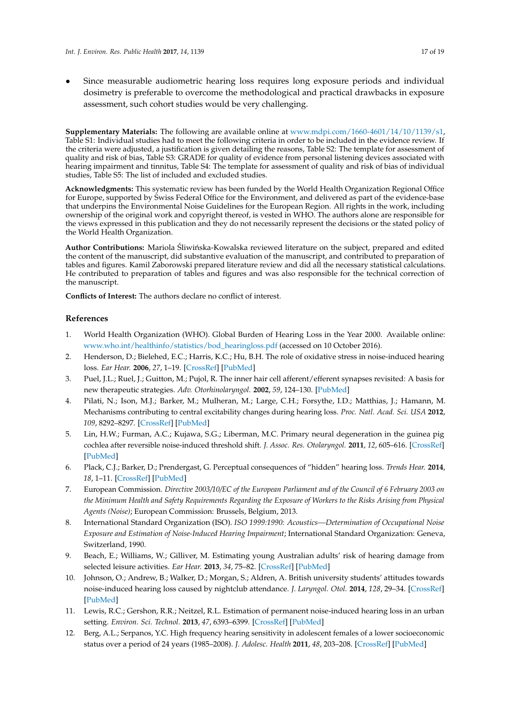• Since measurable audiometric hearing loss requires long exposure periods and individual dosimetry is preferable to overcome the methodological and practical drawbacks in exposure assessment, such cohort studies would be very challenging.

**Supplementary Materials:** The following are available online at [www.mdpi.com/1660-4601/14/10/1139/s1,](www.mdpi.com/1660-4601/14/10/1139/s1) Table S1: Individual studies had to meet the following criteria in order to be included in the evidence review. If the criteria were adjusted, a justification is given detailing the reasons, Table S2: The template for assessment of quality and risk of bias, Table S3: GRADE for quality of evidence from personal listening devices associated with hearing impairment and tinnitus, Table S4: The template for assessment of quality and risk of bias of individual studies, Table S5: The list of included and excluded studies.

**Acknowledgments:** This systematic review has been funded by the World Health Organization Regional Office for Europe, supported by Swiss Federal Office for the Environment, and delivered as part of the evidence-base that underpins the Environmental Noise Guidelines for the European Region. All rights in the work, including ownership of the original work and copyright thereof, is vested in WHO. The authors alone are responsible for the views expressed in this publication and they do not necessarily represent the decisions or the stated policy of the World Health Organization.

Author Contributions: Mariola Śliwińska-Kowalska reviewed literature on the subject, prepared and edited the content of the manuscript, did substantive evaluation of the manuscript, and contributed to preparation of tables and figures. Kamil Zaborowski prepared literature review and did all the necessary statistical calculations. He contributed to preparation of tables and figures and was also responsible for the technical correction of the manuscript.

**Conflicts of Interest:** The authors declare no conflict of interest.

# **References**

- <span id="page-16-0"></span>1. World Health Organization (WHO). Global Burden of Hearing Loss in the Year 2000. Available online: [www.who.int/healthinfo/statistics/bod\\_hearingloss.pdf](www.who.int/healthinfo/statistics/bod_hearingloss.pdf) (accessed on 10 October 2016).
- <span id="page-16-1"></span>2. Henderson, D.; Bielehed, E.C.; Harris, K.C.; Hu, B.H. The role of oxidative stress in noise-induced hearing loss. *Ear Hear.* **2006**, *27*, 1–19. [\[CrossRef\]](http://dx.doi.org/10.1097/01.aud.0000191942.36672.f3) [\[PubMed\]](http://www.ncbi.nlm.nih.gov/pubmed/16446561)
- <span id="page-16-2"></span>3. Puel, J.L.; Ruel, J.; Guitton, M.; Pujol, R. The inner hair cell afferent/efferent synapses revisited: A basis for new therapeutic strategies. *Adv. Otorhinolaryngol.* **2002**, *59*, 124–130. [\[PubMed\]](http://www.ncbi.nlm.nih.gov/pubmed/11885653)
- <span id="page-16-3"></span>4. Pilati, N.; Ison, M.J.; Barker, M.; Mulheran, M.; Large, C.H.; Forsythe, I.D.; Matthias, J.; Hamann, M. Mechanisms contributing to central excitability changes during hearing loss. *Proc. Natl. Acad. Sci. USA* **2012**, *109*, 8292–8297. [\[CrossRef\]](http://dx.doi.org/10.1073/pnas.1116981109) [\[PubMed\]](http://www.ncbi.nlm.nih.gov/pubmed/22566618)
- <span id="page-16-4"></span>5. Lin, H.W.; Furman, A.C.; Kujawa, S.G.; Liberman, M.C. Primary neural degeneration in the guinea pig cochlea after reversible noise-induced threshold shift. *J. Assoc. Res. Otolaryngol.* **2011**, *12*, 605–616. [\[CrossRef\]](http://dx.doi.org/10.1007/s10162-011-0277-0) [\[PubMed\]](http://www.ncbi.nlm.nih.gov/pubmed/21688060)
- <span id="page-16-5"></span>6. Plack, C.J.; Barker, D.; Prendergast, G. Perceptual consequences of "hidden" hearing loss. *Trends Hear.* **2014**, *18*, 1–11. [\[CrossRef\]](http://dx.doi.org/10.1177/2331216514550621) [\[PubMed\]](http://www.ncbi.nlm.nih.gov/pubmed/25204468)
- <span id="page-16-6"></span>7. European Commission. *Directive 2003/10/EC of the European Parliament and of the Council of 6 February 2003 on the Minimum Health and Safety Requirements Regarding the Exposure of Workers to the Risks Arising from Physical Agents (Noise)*; European Commission: Brussels, Belgium, 2013.
- <span id="page-16-7"></span>8. International Standard Organization (ISO). *ISO 1999:1990: Acoustics—Determination of Occupational Noise Exposure and Estimation of Noise-Induced Hearing Impairment*; International Standard Organization: Geneva, Switzerland, 1990.
- <span id="page-16-8"></span>9. Beach, E.; Williams, W.; Gilliver, M. Estimating young Australian adults' risk of hearing damage from selected leisure activities. *Ear Hear.* **2013**, *34*, 75–82. [\[CrossRef\]](http://dx.doi.org/10.1097/AUD.0b013e318262ac6c) [\[PubMed\]](http://www.ncbi.nlm.nih.gov/pubmed/22976343)
- <span id="page-16-9"></span>10. Johnson, O.; Andrew, B.; Walker, D.; Morgan, S.; Aldren, A. British university students' attitudes towards noise-induced hearing loss caused by nightclub attendance. *J. Laryngol. Otol.* **2014**, *128*, 29–34. [\[CrossRef\]](http://dx.doi.org/10.1017/S0022215113003241) [\[PubMed\]](http://www.ncbi.nlm.nih.gov/pubmed/24398027)
- <span id="page-16-10"></span>11. Lewis, R.C.; Gershon, R.R.; Neitzel, R.L. Estimation of permanent noise-induced hearing loss in an urban setting. *Environ. Sci. Technol.* **2013**, *47*, 6393–6399. [\[CrossRef\]](http://dx.doi.org/10.1021/es305161z) [\[PubMed\]](http://www.ncbi.nlm.nih.gov/pubmed/23672684)
- <span id="page-16-11"></span>12. Berg, A.L.; Serpanos, Y.C. High frequency hearing sensitivity in adolescent females of a lower socioeconomic status over a period of 24 years (1985–2008). *J. Adolesc. Health* **2011**, *48*, 203–208. [\[CrossRef\]](http://dx.doi.org/10.1016/j.jadohealth.2010.06.014) [\[PubMed\]](http://www.ncbi.nlm.nih.gov/pubmed/21257121)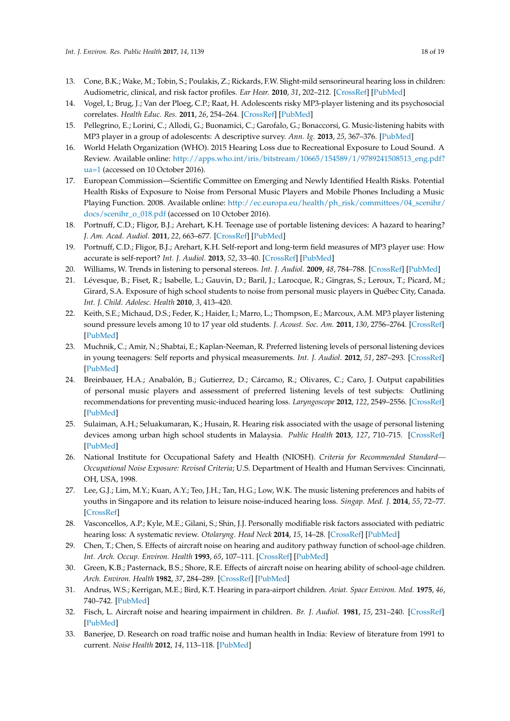- <span id="page-17-24"></span><span id="page-17-17"></span><span id="page-17-14"></span><span id="page-17-13"></span><span id="page-17-0"></span>13. Cone, B.K.; Wake, M.; Tobin, S.; Poulakis, Z.; Rickards, F.W. Slight-mild sensorineural hearing loss in children: Audiometric, clinical, and risk factor profiles. *Ear Hear.* **2010**, *31*, 202–212. [\[CrossRef\]](http://dx.doi.org/10.1097/AUD.0b013e3181c62263) [\[PubMed\]](http://www.ncbi.nlm.nih.gov/pubmed/20054279)
- <span id="page-17-12"></span><span id="page-17-1"></span>14. Vogel, I.; Brug, J.; Van der Ploeg, C.P.; Raat, H. Adolescents risky MP3-player listening and its psychosocial correlates. *Health Educ. Res.* **2011**, *26*, 254–264. [\[CrossRef\]](http://dx.doi.org/10.1093/her/cyq091) [\[PubMed\]](http://www.ncbi.nlm.nih.gov/pubmed/21321009)
- <span id="page-17-16"></span><span id="page-17-2"></span>15. Pellegrino, E.; Lorini, C.; Allodi, G.; Buonamici, C.; Garofalo, G.; Bonaccorsi, G. Music-listening habits with MP3 player in a group of adolescents: A descriptive survey. *Ann. Ig.* **2013**, *25*, 367–376. [\[PubMed\]](http://www.ncbi.nlm.nih.gov/pubmed/24048175)
- <span id="page-17-3"></span>16. World Helath Organization (WHO). 2015 Hearing Loss due to Recreational Exposure to Loud Sound. A Review. Available online: [http://apps.who.int/iris/bitstream/10665/154589/1/9789241508513\\_eng.pdf?](http://apps.who.int/iris/bitstream/10665/154589/1/9789241508513_eng.pdf? ua=1) [ua=1](http://apps.who.int/iris/bitstream/10665/154589/1/9789241508513_eng.pdf? ua=1) (accessed on 10 October 2016).
- <span id="page-17-4"></span>17. European Commission—Scientific Committee on Emerging and Newly Identified Health Risks. Potential Health Risks of Exposure to Noise from Personal Music Players and Mobile Phones Including a Music Playing Function. 2008. Available online: [http://ec.europa.eu/health/ph\\_risk/committees/04\\_scenihr/](http://ec.europa.eu/health/ph_risk/committees/04_scenihr/docs/scenihr_o_018.pdf) [docs/scenihr\\_o\\_018.pdf](http://ec.europa.eu/health/ph_risk/committees/04_scenihr/docs/scenihr_o_018.pdf) (accessed on 10 October 2016).
- <span id="page-17-23"></span><span id="page-17-5"></span>18. Portnuff, C.D.; Fligor, B.J.; Arehart, K.H. Teenage use of portable listening devices: A hazard to hearing? *J. Am. Acad. Audiol.* **2011**, *22*, 663–677. [\[CrossRef\]](http://dx.doi.org/10.3766/jaaa.22.10.5) [\[PubMed\]](http://www.ncbi.nlm.nih.gov/pubmed/22212766)
- <span id="page-17-8"></span>19. Portnuff, C.D.; Fligor, B.J.; Arehart, K.H. Self-report and long-term field measures of MP3 player use: How accurate is self-report? *Int. J. Audiol.* **2013**, *52*, 33–40. [\[CrossRef\]](http://dx.doi.org/10.3109/14992027.2012.745649) [\[PubMed\]](http://www.ncbi.nlm.nih.gov/pubmed/23373741)
- 20. Williams, W. Trends in listening to personal stereos. *Int. J. Audiol.* **2009**, *48*, 784–788. [\[CrossRef\]](http://dx.doi.org/10.3109/14992020903037769) [\[PubMed\]](http://www.ncbi.nlm.nih.gov/pubmed/19951146)
- <span id="page-17-15"></span>21. Lévesque, B.; Fiset, R.; Isabelle, L.; Gauvin, D.; Baril, J.; Larocque, R.; Gingras, S.; Leroux, T.; Picard, M.; Girard, S.A. Exposure of high school students to noise from personal music players in Québec City, Canada. *Int. J. Child. Adolesc. Health* **2010**, *3*, 413–420.
- <span id="page-17-9"></span>22. Keith, S.E.; Michaud, D.S.; Feder, K.; Haider, I.; Marro, L.; Thompson, E.; Marcoux, A.M. MP3 player listening sound pressure levels among 10 to 17 year old students. *J. Acoust. Soc. Am.* **2011**, *130*, 2756–2764. [\[CrossRef\]](http://dx.doi.org/10.1121/1.3641406) [\[PubMed\]](http://www.ncbi.nlm.nih.gov/pubmed/22087904)
- <span id="page-17-10"></span>23. Muchnik, C.; Amir, N.; Shabtai, E.; Kaplan-Neeman, R. Preferred listening levels of personal listening devices in young teenagers: Self reports and physical measurements. *Int. J. Audiol.* **2012**, *51*, 287–293. [\[CrossRef\]](http://dx.doi.org/10.3109/14992027.2011.631590) [\[PubMed\]](http://www.ncbi.nlm.nih.gov/pubmed/22122401)
- <span id="page-17-25"></span>24. Breinbauer, H.A.; Anabalón, B.; Gutierrez, D.; Cárcamo, R.; Olivares, C.; Caro, J. Output capabilities of personal music players and assessment of preferred listening levels of test subjects: Outlining recommendations for preventing music-induced hearing loss. *Laryngoscope* **2012**, *122*, 2549–2556. [\[CrossRef\]](http://dx.doi.org/10.1002/lary.23596) [\[PubMed\]](http://www.ncbi.nlm.nih.gov/pubmed/23060148)
- <span id="page-17-6"></span>25. Sulaiman, A.H.; Seluakumaran, K.; Husain, R. Hearing risk associated with the usage of personal listening devices among urban high school students in Malaysia. *Public Health* **2013**, *127*, 710–715. [\[CrossRef\]](http://dx.doi.org/10.1016/j.puhe.2013.01.007) [\[PubMed\]](http://www.ncbi.nlm.nih.gov/pubmed/23474376)
- <span id="page-17-7"></span>26. National Institute for Occupational Safety and Health (NIOSH). *Criteria for Recommended Standard— Occupational Noise Exposure: Revised Criteria*; U.S. Department of Health and Human Servives: Cincinnati, OH, USA, 1998.
- <span id="page-17-11"></span>27. Lee, G.J.; Lim, M.Y.; Kuan, A.Y.; Teo, J.H.; Tan, H.G.; Low, W.K. The music listening preferences and habits of youths in Singapore and its relation to leisure noise-induced hearing loss. *Singap. Med. J.* **2014**, *55*, 72–77. [\[CrossRef\]](http://dx.doi.org/10.11622/smedj.2014018)
- <span id="page-17-18"></span>28. Vasconcellos, A.P.; Kyle, M.E.; Gilani, S.; Shin, J.J. Personally modifiable risk factors associated with pediatric hearing loss: A systematic review. *Otolaryng. Head Neck* **2014**, *15*, 14–28. [\[CrossRef\]](http://dx.doi.org/10.1177/0194599814526560) [\[PubMed\]](http://www.ncbi.nlm.nih.gov/pubmed/24671457)
- <span id="page-17-19"></span>29. Chen, T.; Chen, S. Effects of aircraft noise on hearing and auditory pathway function of school-age children. *Int. Arch. Occup. Environ. Health* **1993**, *65*, 107–111. [\[CrossRef\]](http://dx.doi.org/10.1007/BF00405728) [\[PubMed\]](http://www.ncbi.nlm.nih.gov/pubmed/8253507)
- <span id="page-17-20"></span>30. Green, K.B.; Pasternack, B.S.; Shore, R.E. Effects of aircraft noise on hearing ability of school-age children. *Arch. Environ. Health* **1982**, *37*, 284–289. [\[CrossRef\]](http://dx.doi.org/10.1080/00039896.1982.10667580) [\[PubMed\]](http://www.ncbi.nlm.nih.gov/pubmed/7138078)
- 31. Andrus, W.S.; Kerrigan, M.E.; Bird, K.T. Hearing in para-airport children. *Aviat. Space Environ. Med.* **1975**, *46*, 740–742. [\[PubMed\]](http://www.ncbi.nlm.nih.gov/pubmed/1131141)
- <span id="page-17-21"></span>32. Fisch, L. Aircraft noise and hearing impairment in children. *Br. J. Audiol.* **1981**, *15*, 231–240. [\[CrossRef\]](http://dx.doi.org/10.3109/03005368109081443) [\[PubMed\]](http://www.ncbi.nlm.nih.gov/pubmed/7296102)
- <span id="page-17-22"></span>33. Banerjee, D. Research on road traffic noise and human health in India: Review of literature from 1991 to current. *Noise Health* **2012**, *14*, 113–118. [\[PubMed\]](http://www.ncbi.nlm.nih.gov/pubmed/22718109)